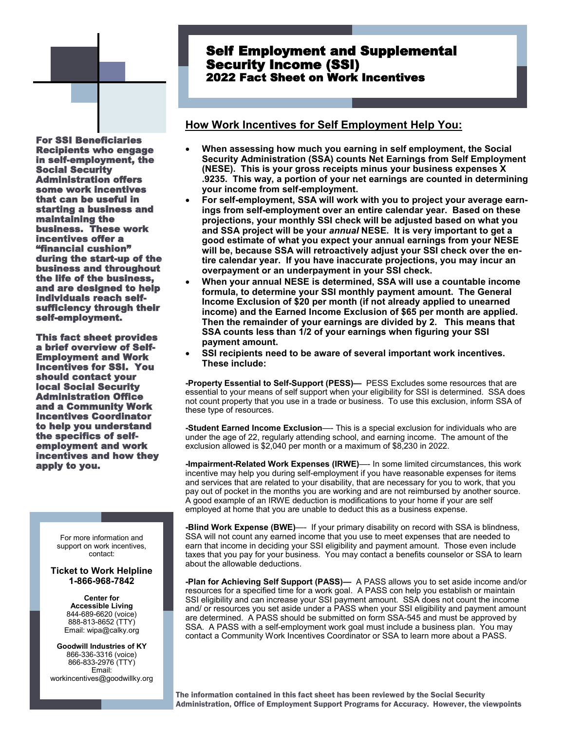

# Self Employment and Supplemental Security Income (SSI) 2022 Fact Sheet on Work Incentives

## **How Work Incentives for Self Employment Help You:**

For SSI Beneficiaries Recipients who engage in self-employment, the Social Security Administration offers some work incentives that can be useful in starting a business and maintaining the business. These work incentives offer a "financial cushion" during the start-up of the business and throughout the life of the business, and are designed to help individuals reach selfsufficiency through their self-employment.

This fact sheet provides a brief overview of Self-Employment and Work Incentives for SSI. You should contact your local Social Security Administration Office and a Community Work Incentives Coordinator to help you understand the specifics of selfemployment and work incentives and how they apply to you.

> For more information and support on work incentives, contact:

#### **Ticket to Work Helpline 1-866-968-7842**

**Center for Accessible Living** 844-689-6620 (voice) 888-813-8652 (TTY) Email: wipa@calky.org

**Goodwill Industries of KY** 866-336-3316 (voice) 866-833-2976 (TTY) Email: workincentives@goodwillky.org

- **When assessing how much you earning in self employment, the Social Security Administration (SSA) counts Net Earnings from Self Employment (NESE). This is your gross receipts minus your business expenses X .9235. This way, a portion of your net earnings are counted in determining your income from self-employment.**
- **For self-employment, SSA will work with you to project your average earnings from self-employment over an entire calendar year. Based on these projections, your monthly SSI check will be adjusted based on what you and SSA project will be your** *annual* **NESE. It is very important to get a good estimate of what you expect your annual earnings from your NESE will be, because SSA will retroactively adjust your SSI check over the entire calendar year. If you have inaccurate projections, you may incur an overpayment or an underpayment in your SSI check.**
- **When your annual NESE is determined, SSA will use a countable income formula, to determine your SSI monthly payment amount. The General Income Exclusion of \$20 per month (if not already applied to unearned income) and the Earned Income Exclusion of \$65 per month are applied. Then the remainder of your earnings are divided by 2. This means that SSA counts less than 1/2 of your earnings when figuring your SSI payment amount.**
- **SSI recipients need to be aware of several important work incentives. These include:**

**-Property Essential to Self-Support (PESS)—** PESS Excludes some resources that are essential to your means of self support when your eligibility for SSI is determined. SSA does not count property that you use in a trade or business. To use this exclusion, inform SSA of these type of resources.

**-Student Earned Income Exclusion**—- This is a special exclusion for individuals who are under the age of 22, regularly attending school, and earning income. The amount of the exclusion allowed is \$2,040 per month or a maximum of \$8,230 in 2022.

**-Impairment-Related Work Expenses (IRWE)**—- In some limited circumstances, this work incentive may help you during self-employment if you have reasonable expenses for items and services that are related to your disability, that are necessary for you to work, that you pay out of pocket in the months you are working and are not reimbursed by another source. A good example of an IRWE deduction is modifications to your home if your are self employed at home that you are unable to deduct this as a business expense.

**-Blind Work Expense (BWE)**—- If your primary disability on record with SSA is blindness, SSA will not count any earned income that you use to meet expenses that are needed to earn that income in deciding your SSI eligibility and payment amount. Those even include taxes that you pay for your business. You may contact a benefits counselor or SSA to learn about the allowable deductions.

**-Plan for Achieving Self Support (PASS)—** A PASS allows you to set aside income and/or resources for a specified time for a work goal. A PASS con help you establish or maintain SSI eligibility and can increase your SSI payment amount. SSA does not count the income and/ or resources you set aside under a PASS when your SSI eligibility and payment amount are determined. A PASS should be submitted on form SSA-545 and must be approved by SSA. A PASS with a self-employment work goal must include a business plan. You may contact a Community Work Incentives Coordinator or SSA to learn more about a PASS.

The information contained in this fact sheet has been reviewed by the Social Security Administration, Office of Employment Support Programs for Accuracy. However, the viewpoints